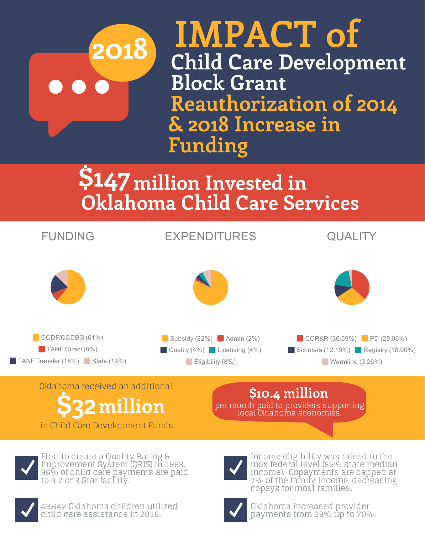**IMPACT of Child Care Development Block Grant 2018 Reauthorization of 2014 & 2018 Increase in Funding**

> **million Invested in \$147 Oklahoma Child Care Services**





### Oklahoma received an additional

#### in Child Care Development Funds



**\$10.4 million**

per month paid to providers supporting

local Oklahoma economies.

First to create a Quality Rating & Improvement System (QRIS) in 1998. 96% of child care payments are paid to a 2 or 3 Star facility.



43,642 Oklahoma children utilized child care assistance in 2018.

Income eligibility was raised to the max federal level (85% state median income). Copayments are capped at 7% of the family income, decreasing copays for most families.



Oklahoma increased provider payments from 39% up to 70%.